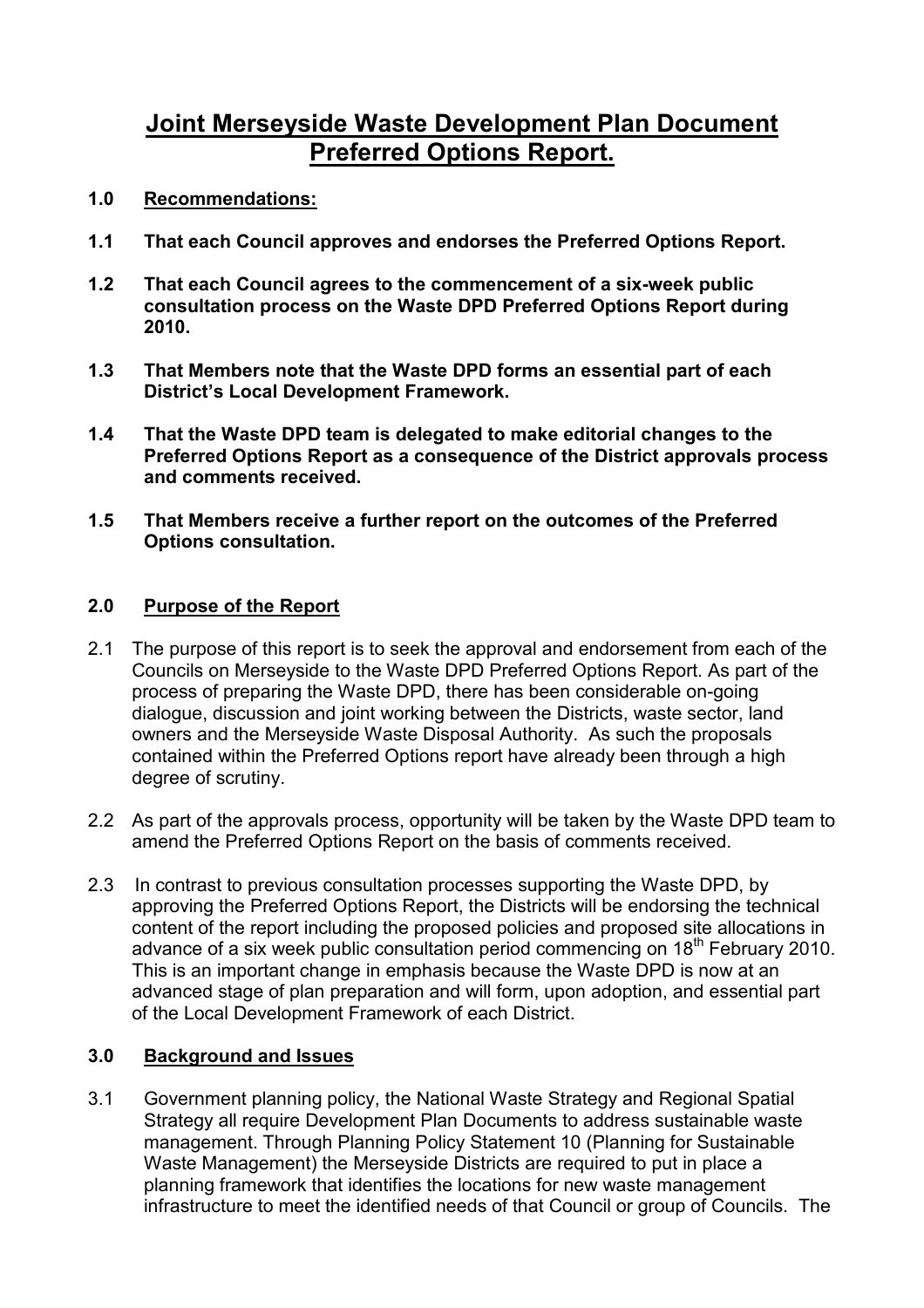# Joint Merseyside Waste Development Plan Document Preferred Options Report.

- 1.0 Recommendations:
- 1.1 That each Council approves and endorses the Preferred Options Report.
- 1.2 That each Council agrees to the commencement of a six-week public consultation process on the Waste DPD Preferred Options Report during 2010.
- 1.3 That Members note that the Waste DPD forms an essential part of each District's Local Development Framework.
- 1.4 That the Waste DPD team is delegated to make editorial changes to the Preferred Options Report as a consequence of the District approvals process and comments received.
- 1.5 That Members receive a further report on the outcomes of the Preferred Options consultation.

## 2.0 Purpose of the Report

- 2.1 The purpose of this report is to seek the approval and endorsement from each of the Councils on Merseyside to the Waste DPD Preferred Options Report. As part of the process of preparing the Waste DPD, there has been considerable on-going dialogue, discussion and joint working between the Districts, waste sector, land owners and the Merseyside Waste Disposal Authority. As such the proposals contained within the Preferred Options report have already been through a high degree of scrutiny.
- 2.2 As part of the approvals process, opportunity will be taken by the Waste DPD team to amend the Preferred Options Report on the basis of comments received.
- 2.3 In contrast to previous consultation processes supporting the Waste DPD, by approving the Preferred Options Report, the Districts will be endorsing the technical content of the report including the proposed policies and proposed site allocations in advance of a six week public consultation period commencing on 18<sup>th</sup> February 2010. This is an important change in emphasis because the Waste DPD is now at an advanced stage of plan preparation and will form, upon adoption, and essential part of the Local Development Framework of each District.

## 3.0 Background and Issues

3.1 Government planning policy, the National Waste Strategy and Regional Spatial Strategy all require Development Plan Documents to address sustainable waste management. Through Planning Policy Statement 10 (Planning for Sustainable Waste Management) the Merseyside Districts are required to put in place a planning framework that identifies the locations for new waste management infrastructure to meet the identified needs of that Council or group of Councils. The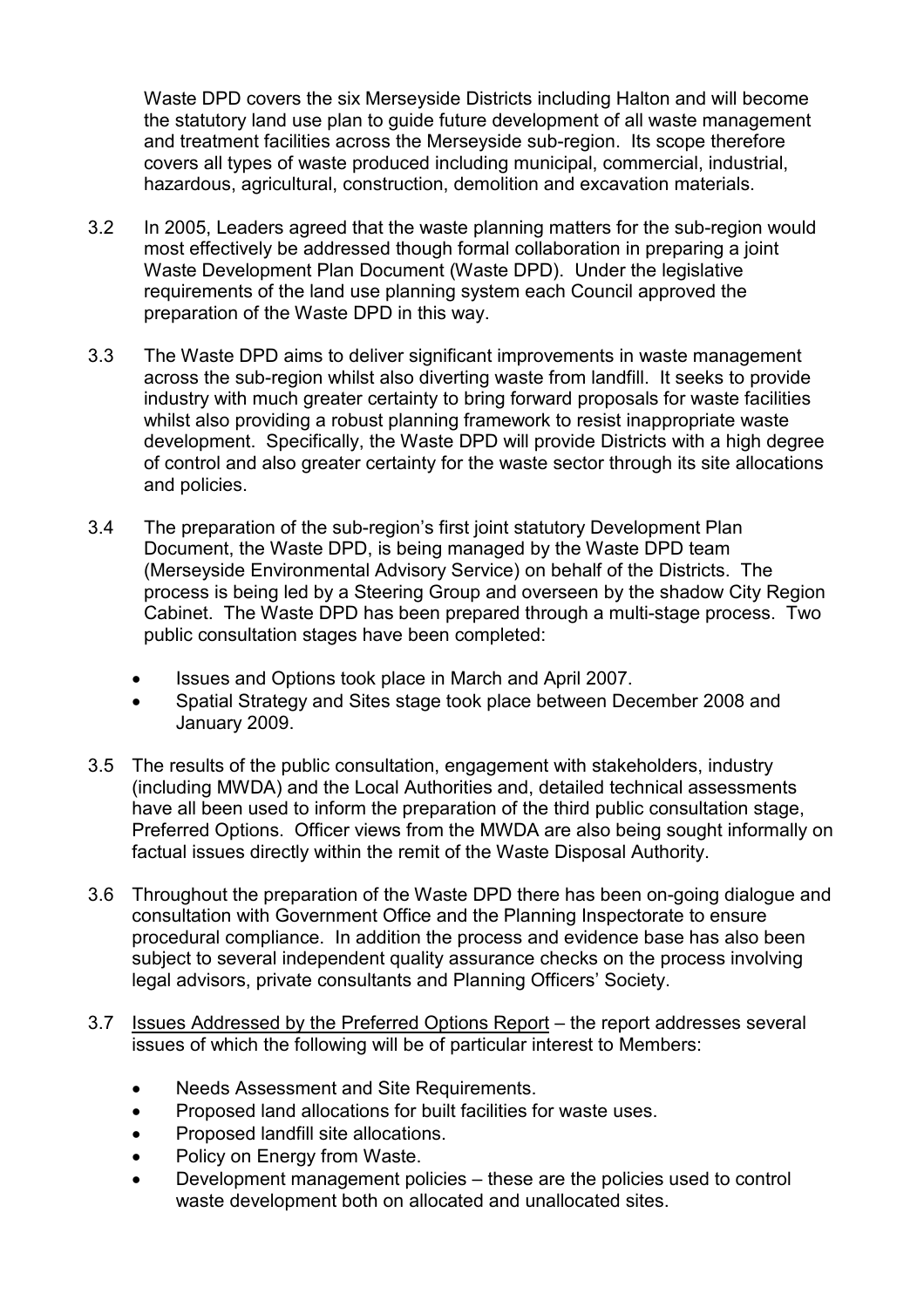Waste DPD covers the six Merseyside Districts including Halton and will become the statutory land use plan to guide future development of all waste management and treatment facilities across the Merseyside sub-region. Its scope therefore covers all types of waste produced including municipal, commercial, industrial, hazardous, agricultural, construction, demolition and excavation materials.

- 3.2 In 2005, Leaders agreed that the waste planning matters for the sub-region would most effectively be addressed though formal collaboration in preparing a joint Waste Development Plan Document (Waste DPD). Under the legislative requirements of the land use planning system each Council approved the preparation of the Waste DPD in this way.
- 3.3 The Waste DPD aims to deliver significant improvements in waste management across the sub-region whilst also diverting waste from landfill. It seeks to provide industry with much greater certainty to bring forward proposals for waste facilities whilst also providing a robust planning framework to resist inappropriate waste development. Specifically, the Waste DPD will provide Districts with a high degree of control and also greater certainty for the waste sector through its site allocations and policies.
- 3.4 The preparation of the sub-region's first joint statutory Development Plan Document, the Waste DPD, is being managed by the Waste DPD team (Merseyside Environmental Advisory Service) on behalf of the Districts. The process is being led by a Steering Group and overseen by the shadow City Region Cabinet. The Waste DPD has been prepared through a multi-stage process. Two public consultation stages have been completed:
	- Issues and Options took place in March and April 2007.
	- Spatial Strategy and Sites stage took place between December 2008 and January 2009.
- 3.5 The results of the public consultation, engagement with stakeholders, industry (including MWDA) and the Local Authorities and, detailed technical assessments have all been used to inform the preparation of the third public consultation stage, Preferred Options. Officer views from the MWDA are also being sought informally on factual issues directly within the remit of the Waste Disposal Authority.
- 3.6 Throughout the preparation of the Waste DPD there has been on-going dialogue and consultation with Government Office and the Planning Inspectorate to ensure procedural compliance. In addition the process and evidence base has also been subject to several independent quality assurance checks on the process involving legal advisors, private consultants and Planning Officers' Society.
- 3.7 Issues Addressed by the Preferred Options Report the report addresses several issues of which the following will be of particular interest to Members:
	- Needs Assessment and Site Requirements.
	- Proposed land allocations for built facilities for waste uses.
	- Proposed landfill site allocations.
	- Policy on Energy from Waste.
	- Development management policies these are the policies used to control waste development both on allocated and unallocated sites.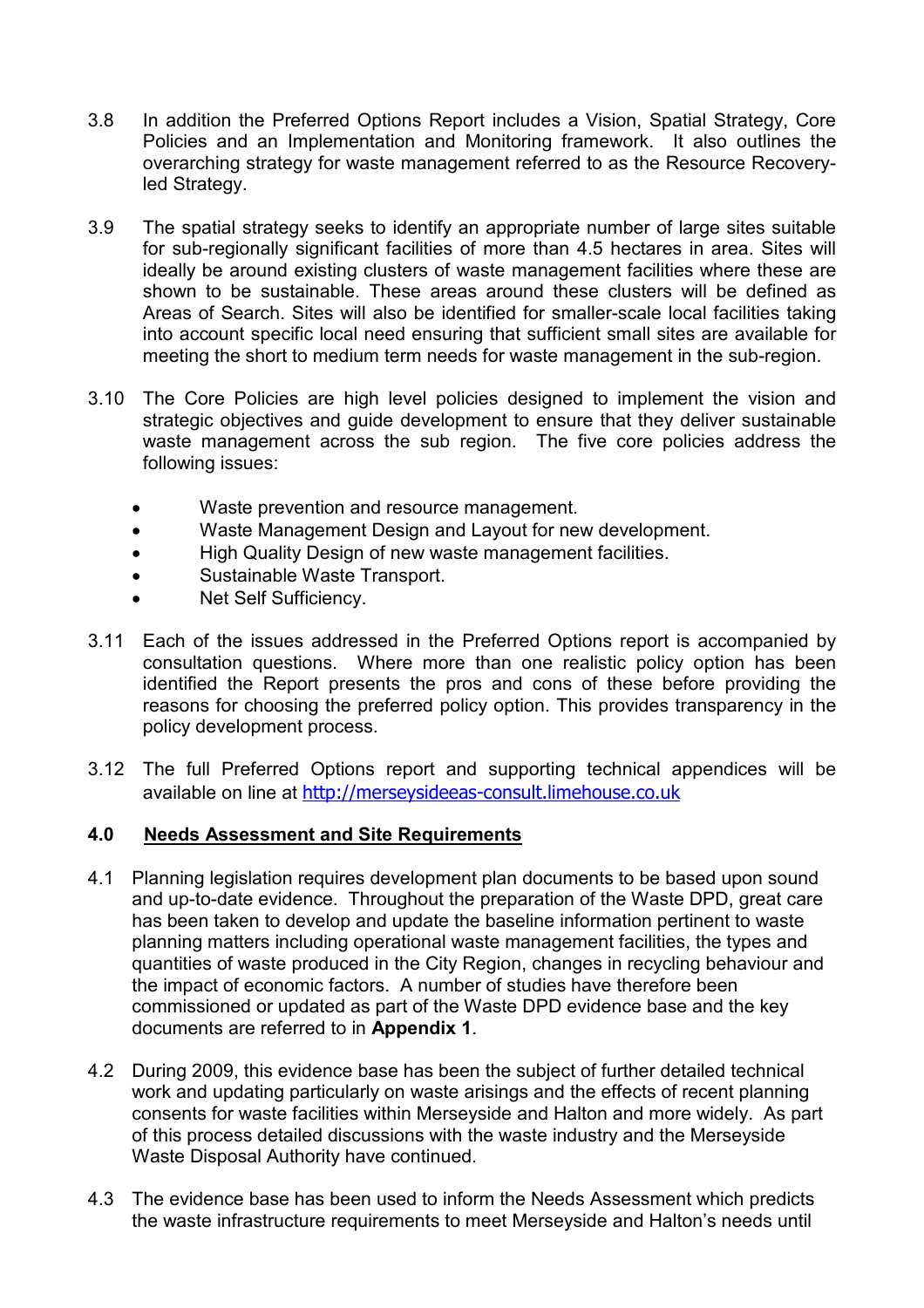- 3.8 In addition the Preferred Options Report includes a Vision, Spatial Strategy, Core Policies and an Implementation and Monitoring framework. It also outlines the overarching strategy for waste management referred to as the Resource Recoveryled Strategy.
- 3.9 The spatial strategy seeks to identify an appropriate number of large sites suitable for sub-regionally significant facilities of more than 4.5 hectares in area. Sites will ideally be around existing clusters of waste management facilities where these are shown to be sustainable. These areas around these clusters will be defined as Areas of Search. Sites will also be identified for smaller-scale local facilities taking into account specific local need ensuring that sufficient small sites are available for meeting the short to medium term needs for waste management in the sub-region.
- 3.10 The Core Policies are high level policies designed to implement the vision and strategic objectives and guide development to ensure that they deliver sustainable waste management across the sub region. The five core policies address the following issues:
	- Waste prevention and resource management.
	- Waste Management Design and Layout for new development.
	- High Quality Design of new waste management facilities.
	- Sustainable Waste Transport.
	- Net Self Sufficiency.
- 3.11 Each of the issues addressed in the Preferred Options report is accompanied by consultation questions. Where more than one realistic policy option has been identified the Report presents the pros and cons of these before providing the reasons for choosing the preferred policy option. This provides transparency in the policy development process.
- 3.12 The full Preferred Options report and supporting technical appendices will be available on line at http://merseysideeas-consult.limehouse.co.uk

#### 4.0 Needs Assessment and Site Requirements

- 4.1 Planning legislation requires development plan documents to be based upon sound and up-to-date evidence. Throughout the preparation of the Waste DPD, great care has been taken to develop and update the baseline information pertinent to waste planning matters including operational waste management facilities, the types and quantities of waste produced in the City Region, changes in recycling behaviour and the impact of economic factors. A number of studies have therefore been commissioned or updated as part of the Waste DPD evidence base and the key documents are referred to in Appendix 1.
- 4.2 During 2009, this evidence base has been the subject of further detailed technical work and updating particularly on waste arisings and the effects of recent planning consents for waste facilities within Merseyside and Halton and more widely. As part of this process detailed discussions with the waste industry and the Merseyside Waste Disposal Authority have continued.
- 4.3 The evidence base has been used to inform the Needs Assessment which predicts the waste infrastructure requirements to meet Merseyside and Halton's needs until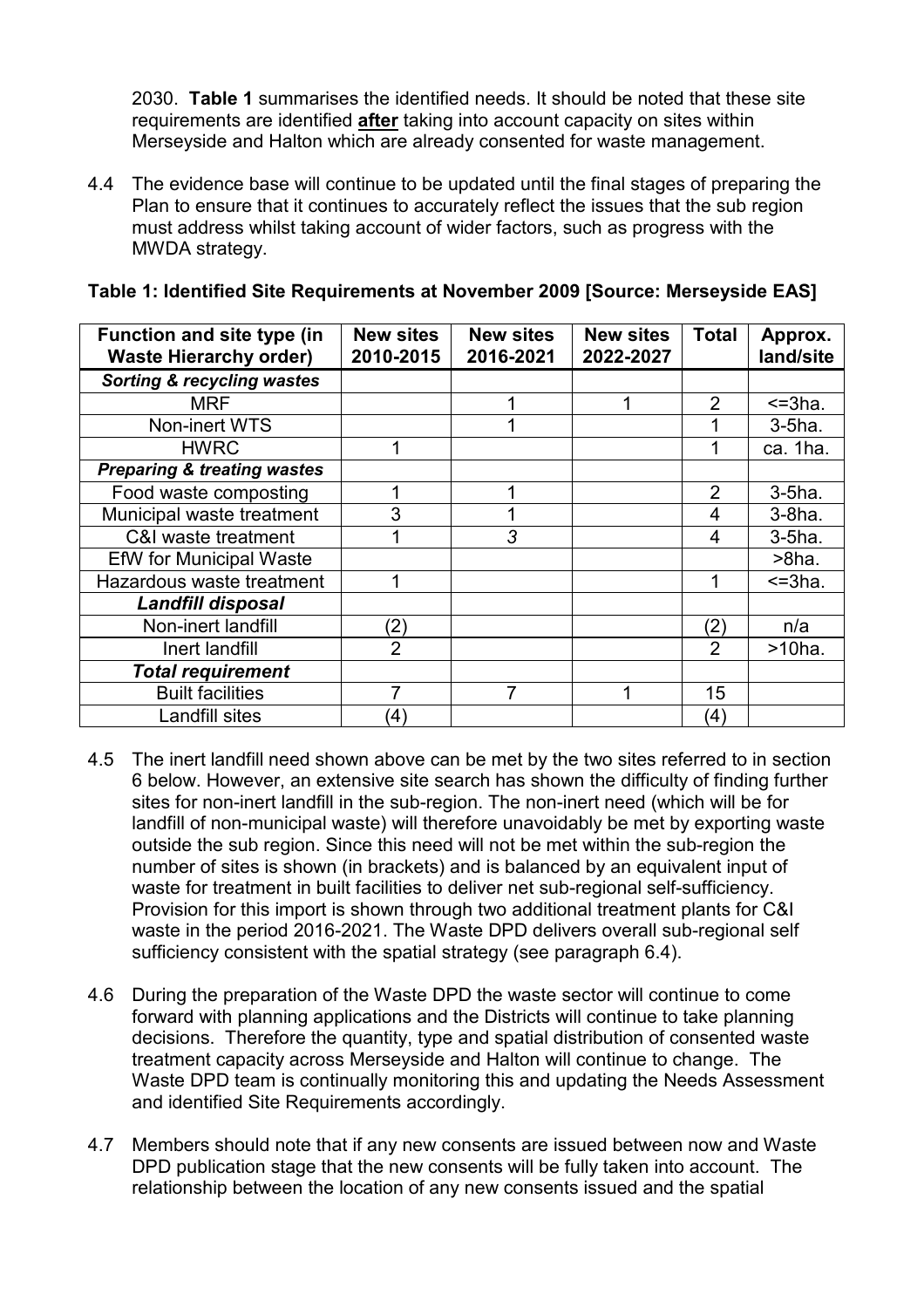2030. Table 1 summarises the identified needs. It should be noted that these site requirements are identified **after** taking into account capacity on sites within Merseyside and Halton which are already consented for waste management.

4.4 The evidence base will continue to be updated until the final stages of preparing the Plan to ensure that it continues to accurately reflect the issues that the sub region must address whilst taking account of wider factors, such as progress with the MWDA strategy.

| <b>Function and site type (in</b><br><b>Waste Hierarchy order)</b> | <b>New sites</b><br>2010-2015 | <b>New sites</b><br>2016-2021 | <b>New sites</b><br>2022-2027 | <b>Total</b>      | Approx.<br>land/site |
|--------------------------------------------------------------------|-------------------------------|-------------------------------|-------------------------------|-------------------|----------------------|
| <b>Sorting &amp; recycling wastes</b>                              |                               |                               |                               |                   |                      |
| MRF                                                                |                               |                               |                               | 2                 | $=3ha$ .             |
| Non-inert WTS                                                      |                               |                               |                               |                   | $3-5$ ha.            |
| <b>HWRC</b>                                                        |                               |                               |                               |                   | ca. 1ha.             |
| <b>Preparing &amp; treating wastes</b>                             |                               |                               |                               |                   |                      |
| Food waste composting                                              |                               |                               |                               | 2                 | $3-5$ ha.            |
| Municipal waste treatment                                          | 3                             |                               |                               | 4                 | $3-8$ ha.            |
| C&I waste treatment                                                |                               | 3                             |                               | 4                 | $3-5$ ha.            |
| <b>EfW</b> for Municipal Waste                                     |                               |                               |                               |                   | $>8$ ha.             |
| Hazardous waste treatment                                          |                               |                               |                               | 1                 | $=3ha$ .             |
| <b>Landfill disposal</b>                                           |                               |                               |                               |                   |                      |
| Non-inert landfill                                                 | (2)                           |                               |                               | (2)               | n/a                  |
| Inert landfill                                                     | $\overline{2}$                |                               |                               | $\overline{2}$    | $>10$ ha.            |
| <b>Total requirement</b>                                           |                               |                               |                               |                   |                      |
| <b>Built facilities</b>                                            | 7                             | 7                             | 1                             | 15                |                      |
| Landfill sites                                                     | (4)                           |                               |                               | $\left( 4\right)$ |                      |

## Table 1: Identified Site Requirements at November 2009 [Source: Merseyside EAS]

- 4.5 The inert landfill need shown above can be met by the two sites referred to in section 6 below. However, an extensive site search has shown the difficulty of finding further sites for non-inert landfill in the sub-region. The non-inert need (which will be for landfill of non-municipal waste) will therefore unavoidably be met by exporting waste outside the sub region. Since this need will not be met within the sub-region the number of sites is shown (in brackets) and is balanced by an equivalent input of waste for treatment in built facilities to deliver net sub-regional self-sufficiency. Provision for this import is shown through two additional treatment plants for C&I waste in the period 2016-2021. The Waste DPD delivers overall sub-regional self sufficiency consistent with the spatial strategy (see paragraph 6.4).
- 4.6 During the preparation of the Waste DPD the waste sector will continue to come forward with planning applications and the Districts will continue to take planning decisions. Therefore the quantity, type and spatial distribution of consented waste treatment capacity across Merseyside and Halton will continue to change. The Waste DPD team is continually monitoring this and updating the Needs Assessment and identified Site Requirements accordingly.
- 4.7 Members should note that if any new consents are issued between now and Waste DPD publication stage that the new consents will be fully taken into account. The relationship between the location of any new consents issued and the spatial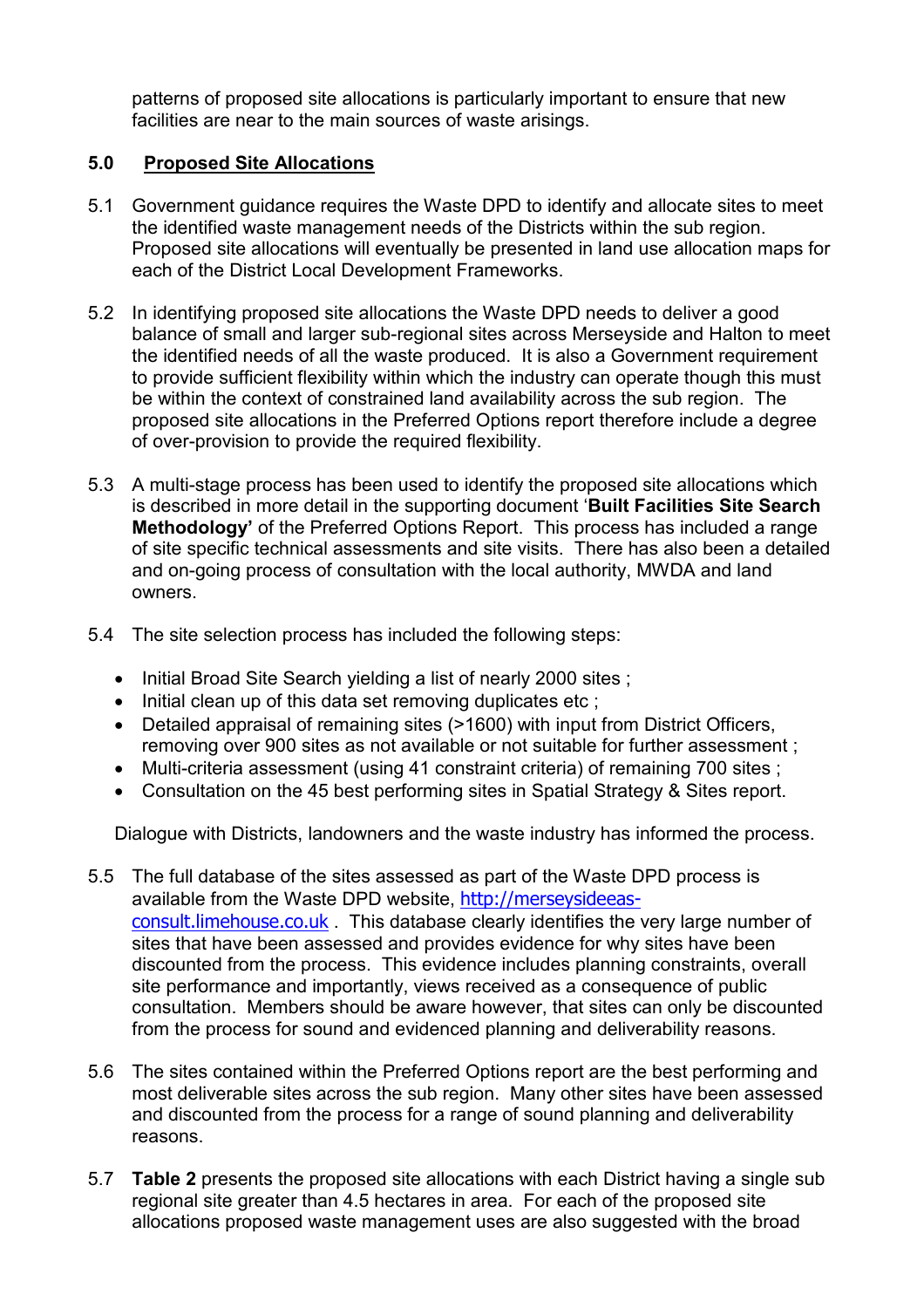patterns of proposed site allocations is particularly important to ensure that new facilities are near to the main sources of waste arisings.

## 5.0 Proposed Site Allocations

- 5.1 Government guidance requires the Waste DPD to identify and allocate sites to meet the identified waste management needs of the Districts within the sub region. Proposed site allocations will eventually be presented in land use allocation maps for each of the District Local Development Frameworks.
- 5.2 In identifying proposed site allocations the Waste DPD needs to deliver a good balance of small and larger sub-regional sites across Merseyside and Halton to meet the identified needs of all the waste produced. It is also a Government requirement to provide sufficient flexibility within which the industry can operate though this must be within the context of constrained land availability across the sub region. The proposed site allocations in the Preferred Options report therefore include a degree of over-provision to provide the required flexibility.
- 5.3 A multi-stage process has been used to identify the proposed site allocations which is described in more detail in the supporting document 'Built Facilities Site Search Methodology' of the Preferred Options Report. This process has included a range of site specific technical assessments and site visits. There has also been a detailed and on-going process of consultation with the local authority, MWDA and land owners.
- 5.4 The site selection process has included the following steps:
	- Initial Broad Site Search vielding a list of nearly 2000 sites :
	- Initial clean up of this data set removing duplicates etc ;
	- Detailed appraisal of remaining sites (>1600) with input from District Officers, removing over 900 sites as not available or not suitable for further assessment ;
	- Multi-criteria assessment (using 41 constraint criteria) of remaining 700 sites ;
	- Consultation on the 45 best performing sites in Spatial Strategy & Sites report.

Dialogue with Districts, landowners and the waste industry has informed the process.

- 5.5 The full database of the sites assessed as part of the Waste DPD process is available from the Waste DPD website, http://merseysideeasconsult.limehouse.co.uk . This database clearly identifies the very large number of sites that have been assessed and provides evidence for why sites have been discounted from the process. This evidence includes planning constraints, overall site performance and importantly, views received as a consequence of public consultation. Members should be aware however, that sites can only be discounted from the process for sound and evidenced planning and deliverability reasons.
- 5.6 The sites contained within the Preferred Options report are the best performing and most deliverable sites across the sub region. Many other sites have been assessed and discounted from the process for a range of sound planning and deliverability reasons.
- 5.7 Table 2 presents the proposed site allocations with each District having a single sub regional site greater than 4.5 hectares in area. For each of the proposed site allocations proposed waste management uses are also suggested with the broad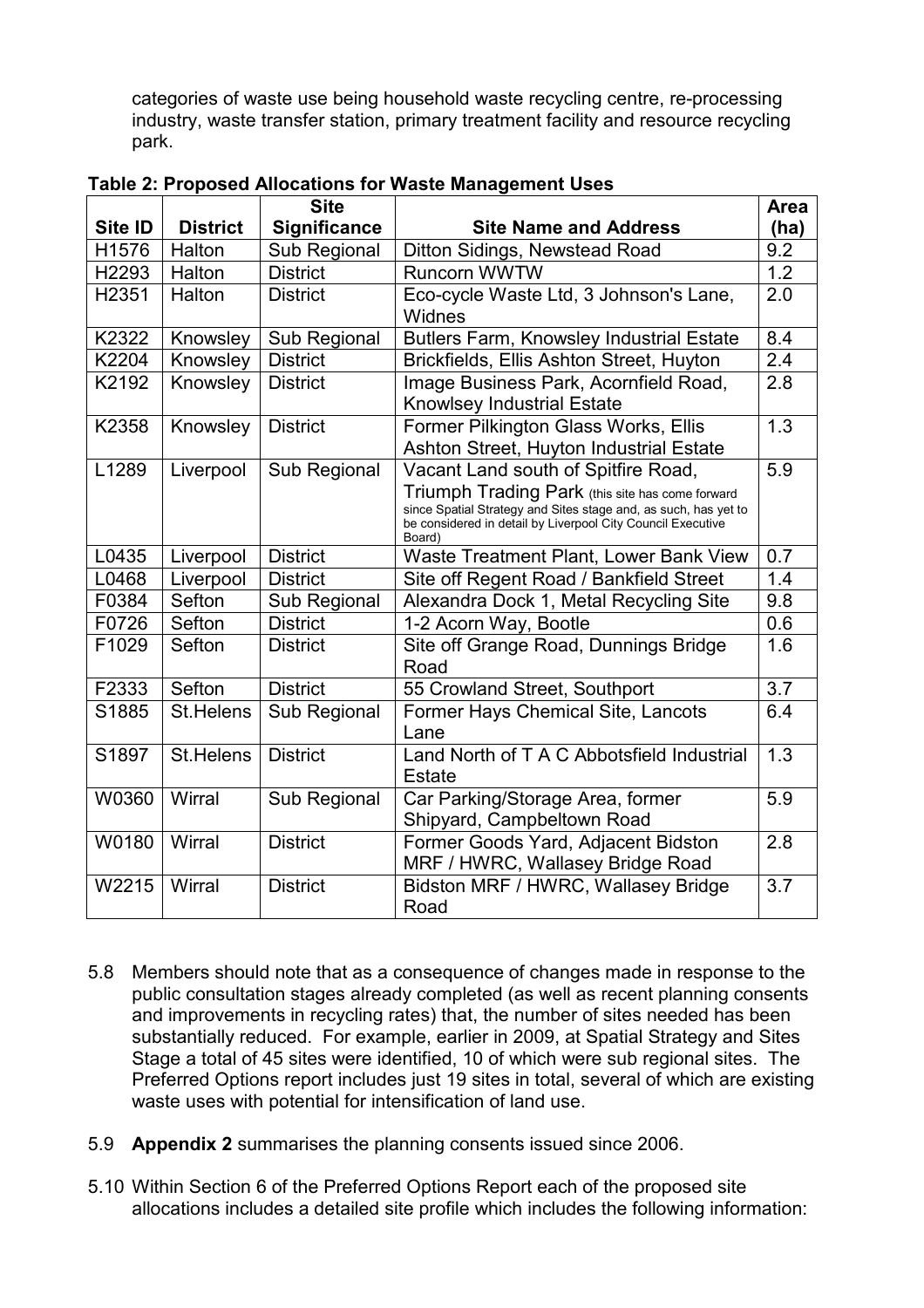categories of waste use being household waste recycling centre, re-processing industry, waste transfer station, primary treatment facility and resource recycling park.

|                   |                 | <b>Site</b>         |                                                                                                                                                                                                                                     | Area |
|-------------------|-----------------|---------------------|-------------------------------------------------------------------------------------------------------------------------------------------------------------------------------------------------------------------------------------|------|
| Site ID           | <b>District</b> | <b>Significance</b> | <b>Site Name and Address</b>                                                                                                                                                                                                        | (ha) |
| H1576             | Halton          | Sub Regional        | Ditton Sidings, Newstead Road                                                                                                                                                                                                       | 9.2  |
| H2293             | Halton          | <b>District</b>     | <b>Runcorn WWTW</b>                                                                                                                                                                                                                 | 1.2  |
| H <sub>2351</sub> | Halton          | <b>District</b>     | Eco-cycle Waste Ltd, 3 Johnson's Lane,<br>Widnes                                                                                                                                                                                    | 2.0  |
| K2322             | Knowsley        | Sub Regional        | <b>Butlers Farm, Knowsley Industrial Estate</b>                                                                                                                                                                                     | 8.4  |
| K2204             | Knowsley        | <b>District</b>     | Brickfields, Ellis Ashton Street, Huyton                                                                                                                                                                                            | 2.4  |
| K2192             | Knowsley        | <b>District</b>     | Image Business Park, Acornfield Road,<br>Knowlsey Industrial Estate                                                                                                                                                                 | 2.8  |
| K2358             | Knowsley        | <b>District</b>     | Former Pilkington Glass Works, Ellis<br>Ashton Street, Huyton Industrial Estate                                                                                                                                                     | 1.3  |
| L1289             | Liverpool       | Sub Regional        | Vacant Land south of Spitfire Road,<br>Triumph Trading Park (this site has come forward<br>since Spatial Strategy and Sites stage and, as such, has yet to<br>be considered in detail by Liverpool City Council Executive<br>Board) | 5.9  |
| L0435             | Liverpool       | <b>District</b>     | Waste Treatment Plant, Lower Bank View                                                                                                                                                                                              | 0.7  |
| L0468             | Liverpool       | <b>District</b>     | Site off Regent Road / Bankfield Street                                                                                                                                                                                             | 1.4  |
| F0384             | Sefton          | Sub Regional        | Alexandra Dock 1, Metal Recycling Site                                                                                                                                                                                              | 9.8  |
| F0726             | Sefton          | <b>District</b>     | 1-2 Acorn Way, Bootle                                                                                                                                                                                                               | 0.6  |
| F1029             | Sefton          | <b>District</b>     | Site off Grange Road, Dunnings Bridge<br>Road                                                                                                                                                                                       | 1.6  |
| F2333             | Sefton          | <b>District</b>     | 55 Crowland Street, Southport                                                                                                                                                                                                       | 3.7  |
| S1885             | St.Helens       | Sub Regional        | Former Hays Chemical Site, Lancots<br>Lane                                                                                                                                                                                          | 6.4  |
| S1897             | St.Helens       | <b>District</b>     | Land North of T A C Abbotsfield Industrial<br>Estate                                                                                                                                                                                | 1.3  |
| W0360             | Wirral          | Sub Regional        | Car Parking/Storage Area, former<br>Shipyard, Campbeltown Road                                                                                                                                                                      | 5.9  |
| W0180             | Wirral          | <b>District</b>     | Former Goods Yard, Adjacent Bidston<br>MRF / HWRC, Wallasey Bridge Road                                                                                                                                                             | 2.8  |
| W2215             | Wirral          | <b>District</b>     | Bidston MRF / HWRC, Wallasey Bridge<br>Road                                                                                                                                                                                         | 3.7  |

Table 2: Proposed Allocations for Waste Management Uses

- 5.8 Members should note that as a consequence of changes made in response to the public consultation stages already completed (as well as recent planning consents and improvements in recycling rates) that, the number of sites needed has been substantially reduced. For example, earlier in 2009, at Spatial Strategy and Sites Stage a total of 45 sites were identified, 10 of which were sub regional sites. The Preferred Options report includes just 19 sites in total, several of which are existing waste uses with potential for intensification of land use.
- 5.9 Appendix 2 summarises the planning consents issued since 2006.
- 5.10 Within Section 6 of the Preferred Options Report each of the proposed site allocations includes a detailed site profile which includes the following information: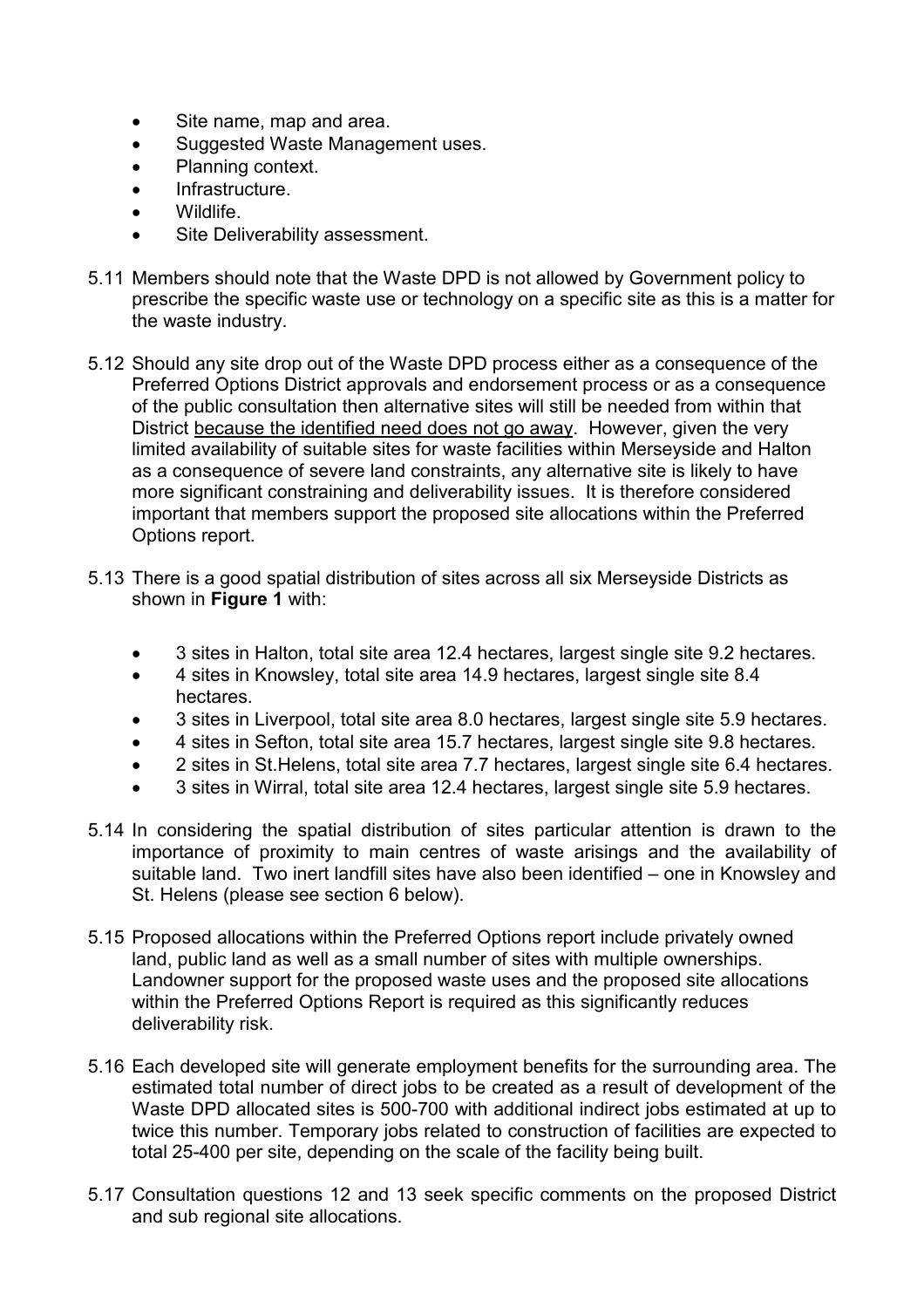- Site name, map and area.
- Suggested Waste Management uses.
- Planning context.
- Infrastructure.
- Wildlife.
- Site Deliverability assessment.
- 5.11 Members should note that the Waste DPD is not allowed by Government policy to prescribe the specific waste use or technology on a specific site as this is a matter for the waste industry.
- 5.12 Should any site drop out of the Waste DPD process either as a consequence of the Preferred Options District approvals and endorsement process or as a consequence of the public consultation then alternative sites will still be needed from within that District because the identified need does not go away. However, given the very limited availability of suitable sites for waste facilities within Merseyside and Halton as a consequence of severe land constraints, any alternative site is likely to have more significant constraining and deliverability issues. It is therefore considered important that members support the proposed site allocations within the Preferred Options report.
- 5.13 There is a good spatial distribution of sites across all six Merseyside Districts as shown in Figure 1 with:
	- 3 sites in Halton, total site area 12.4 hectares, largest single site 9.2 hectares.
	- 4 sites in Knowsley, total site area 14.9 hectares, largest single site 8.4 hectares.
	- 3 sites in Liverpool, total site area 8.0 hectares, largest single site 5.9 hectares.
	- 4 sites in Sefton, total site area 15.7 hectares, largest single site 9.8 hectares.
	- 2 sites in St.Helens, total site area 7.7 hectares, largest single site 6.4 hectares.
	- 3 sites in Wirral, total site area 12.4 hectares, largest single site 5.9 hectares.
- 5.14 In considering the spatial distribution of sites particular attention is drawn to the importance of proximity to main centres of waste arisings and the availability of suitable land. Two inert landfill sites have also been identified – one in Knowsley and St. Helens (please see section 6 below).
- 5.15 Proposed allocations within the Preferred Options report include privately owned land, public land as well as a small number of sites with multiple ownerships. Landowner support for the proposed waste uses and the proposed site allocations within the Preferred Options Report is required as this significantly reduces deliverability risk.
- 5.16 Each developed site will generate employment benefits for the surrounding area. The estimated total number of direct jobs to be created as a result of development of the Waste DPD allocated sites is 500-700 with additional indirect jobs estimated at up to twice this number. Temporary jobs related to construction of facilities are expected to total 25-400 per site, depending on the scale of the facility being built.
- 5.17 Consultation questions 12 and 13 seek specific comments on the proposed District and sub regional site allocations.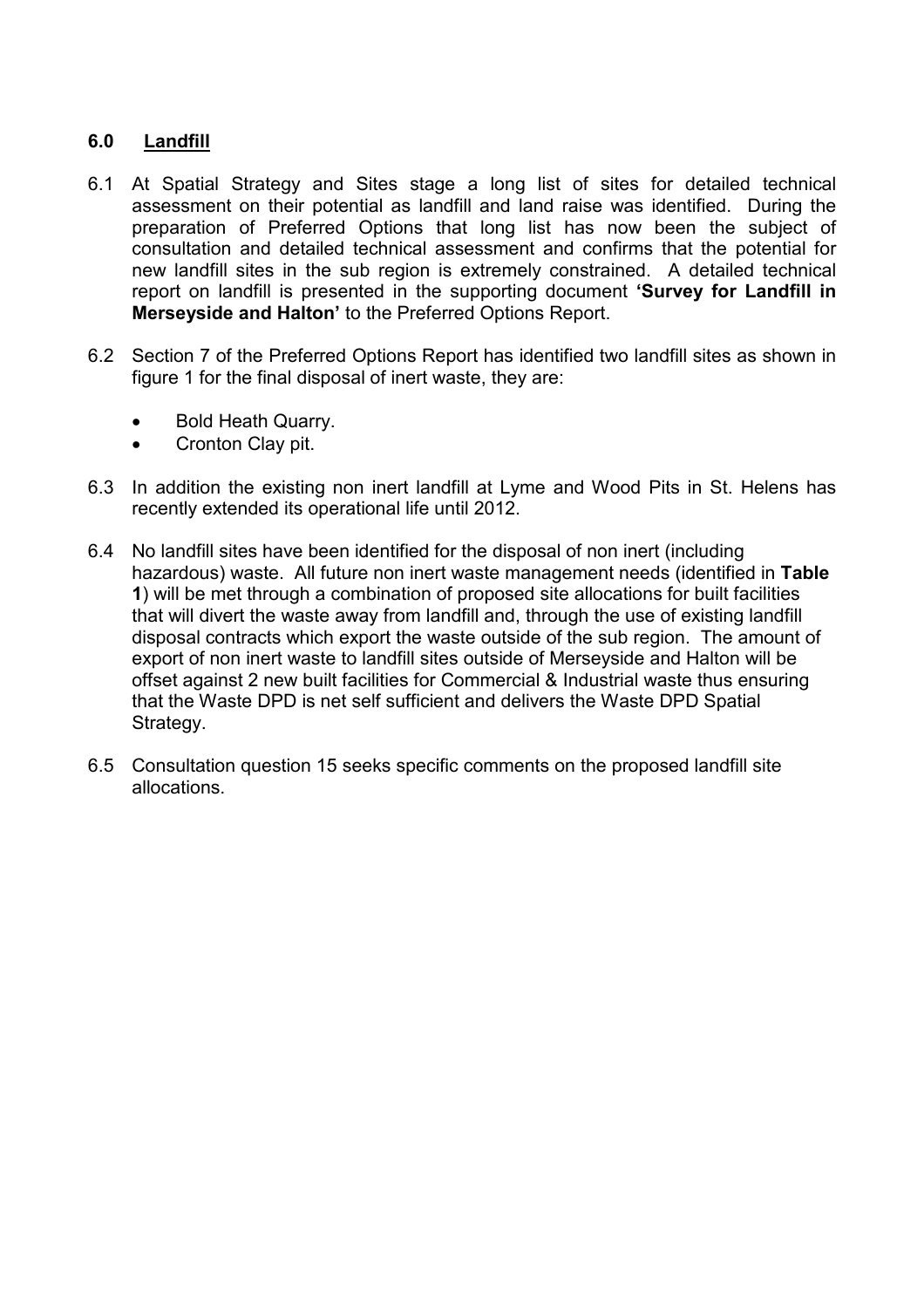## 6.0 Landfill

- 6.1 At Spatial Strategy and Sites stage a long list of sites for detailed technical assessment on their potential as landfill and land raise was identified. During the preparation of Preferred Options that long list has now been the subject of consultation and detailed technical assessment and confirms that the potential for new landfill sites in the sub region is extremely constrained. A detailed technical report on landfill is presented in the supporting document 'Survey for Landfill in Merseyside and Halton' to the Preferred Options Report.
- 6.2 Section 7 of the Preferred Options Report has identified two landfill sites as shown in figure 1 for the final disposal of inert waste, they are:
	- Bold Heath Quarry.
	- Cronton Clay pit.
- 6.3 In addition the existing non inert landfill at Lyme and Wood Pits in St. Helens has recently extended its operational life until 2012.
- 6.4 No landfill sites have been identified for the disposal of non inert (including hazardous) waste. All future non inert waste management needs (identified in Table 1) will be met through a combination of proposed site allocations for built facilities that will divert the waste away from landfill and, through the use of existing landfill disposal contracts which export the waste outside of the sub region. The amount of export of non inert waste to landfill sites outside of Merseyside and Halton will be offset against 2 new built facilities for Commercial & Industrial waste thus ensuring that the Waste DPD is net self sufficient and delivers the Waste DPD Spatial Strategy.
- 6.5 Consultation question 15 seeks specific comments on the proposed landfill site allocations.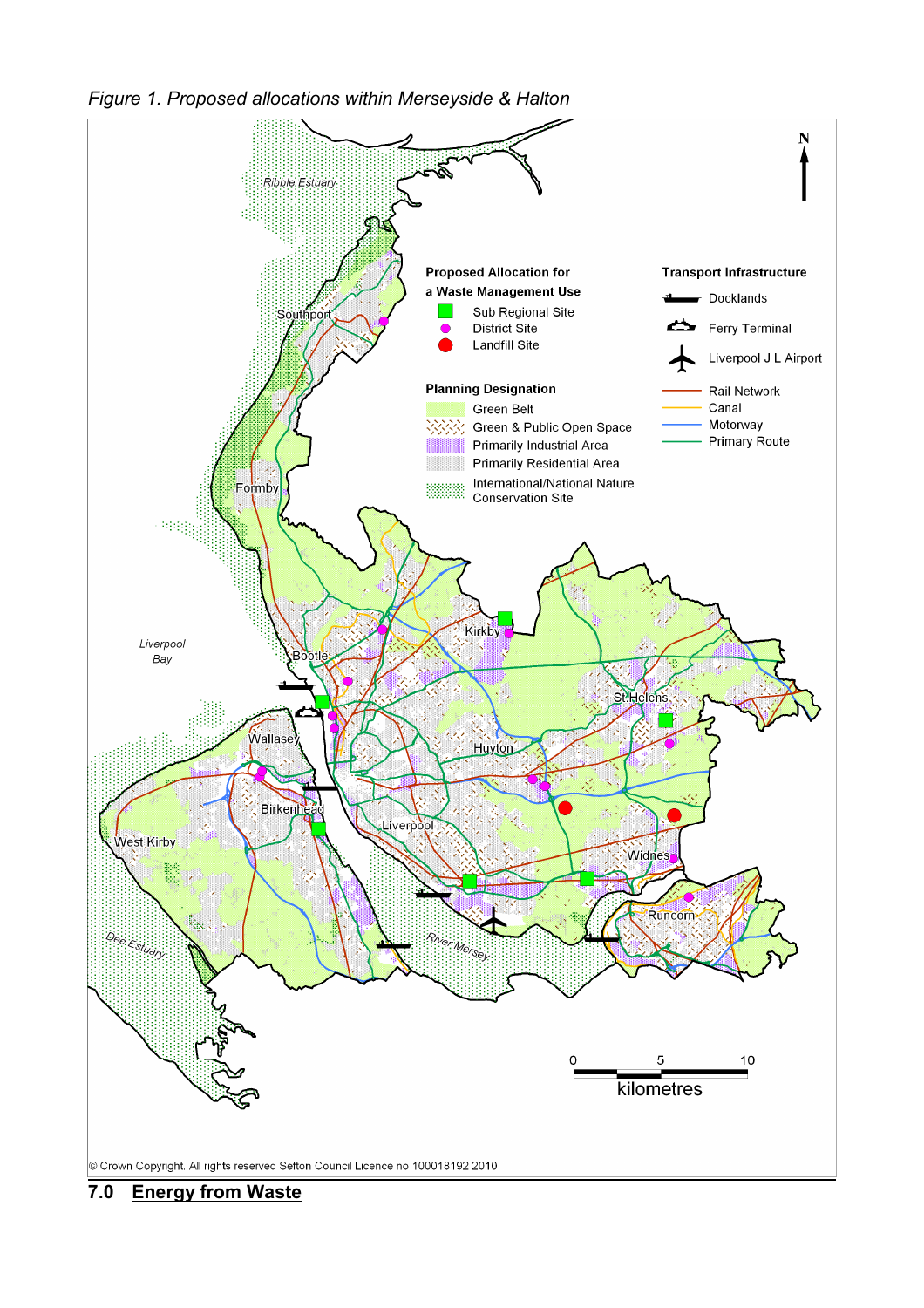



#### 7.0 Energy from Waste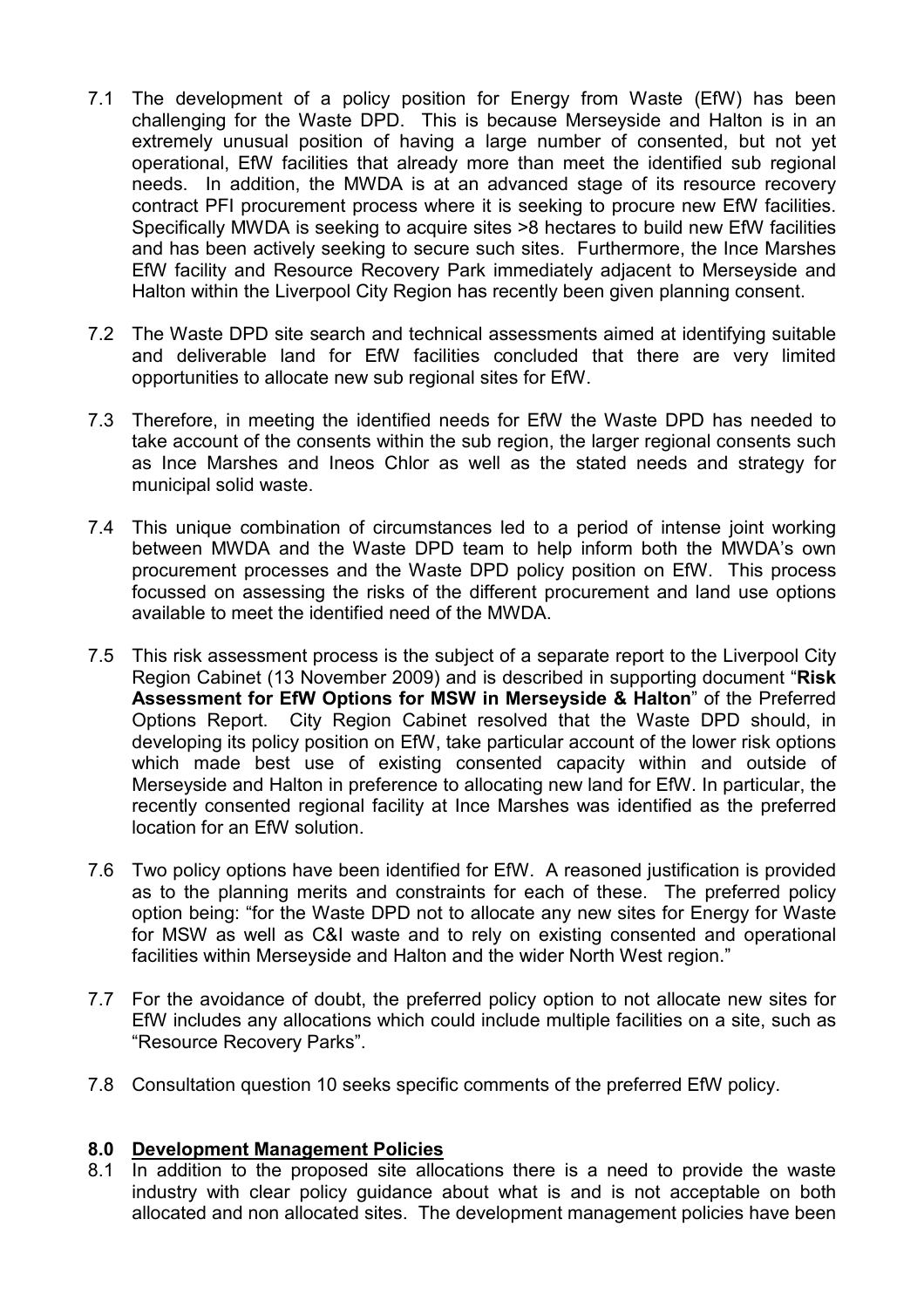- 7.1 The development of a policy position for Energy from Waste (EfW) has been challenging for the Waste DPD. This is because Merseyside and Halton is in an extremely unusual position of having a large number of consented, but not yet operational, EfW facilities that already more than meet the identified sub regional needs. In addition, the MWDA is at an advanced stage of its resource recovery contract PFI procurement process where it is seeking to procure new EfW facilities. Specifically MWDA is seeking to acquire sites >8 hectares to build new EfW facilities and has been actively seeking to secure such sites. Furthermore, the Ince Marshes EfW facility and Resource Recovery Park immediately adjacent to Merseyside and Halton within the Liverpool City Region has recently been given planning consent.
- 7.2 The Waste DPD site search and technical assessments aimed at identifying suitable and deliverable land for EfW facilities concluded that there are very limited opportunities to allocate new sub regional sites for EfW.
- 7.3 Therefore, in meeting the identified needs for EfW the Waste DPD has needed to take account of the consents within the sub region, the larger regional consents such as Ince Marshes and Ineos Chlor as well as the stated needs and strategy for municipal solid waste.
- 7.4 This unique combination of circumstances led to a period of intense joint working between MWDA and the Waste DPD team to help inform both the MWDA's own procurement processes and the Waste DPD policy position on EfW. This process focussed on assessing the risks of the different procurement and land use options available to meet the identified need of the MWDA.
- 7.5 This risk assessment process is the subject of a separate report to the Liverpool City Region Cabinet (13 November 2009) and is described in supporting document "Risk Assessment for EfW Options for MSW in Merseyside & Halton" of the Preferred Options Report. City Region Cabinet resolved that the Waste DPD should, in developing its policy position on EfW, take particular account of the lower risk options which made best use of existing consented capacity within and outside of Merseyside and Halton in preference to allocating new land for EfW. In particular, the recently consented regional facility at Ince Marshes was identified as the preferred location for an EfW solution.
- 7.6 Two policy options have been identified for EfW. A reasoned justification is provided as to the planning merits and constraints for each of these. The preferred policy option being: "for the Waste DPD not to allocate any new sites for Energy for Waste for MSW as well as C&I waste and to rely on existing consented and operational facilities within Merseyside and Halton and the wider North West region."
- 7.7 For the avoidance of doubt, the preferred policy option to not allocate new sites for EfW includes any allocations which could include multiple facilities on a site, such as "Resource Recovery Parks".
- 7.8 Consultation question 10 seeks specific comments of the preferred EfW policy.

#### 8.0 Development Management Policies

8.1 In addition to the proposed site allocations there is a need to provide the waste industry with clear policy guidance about what is and is not acceptable on both allocated and non allocated sites. The development management policies have been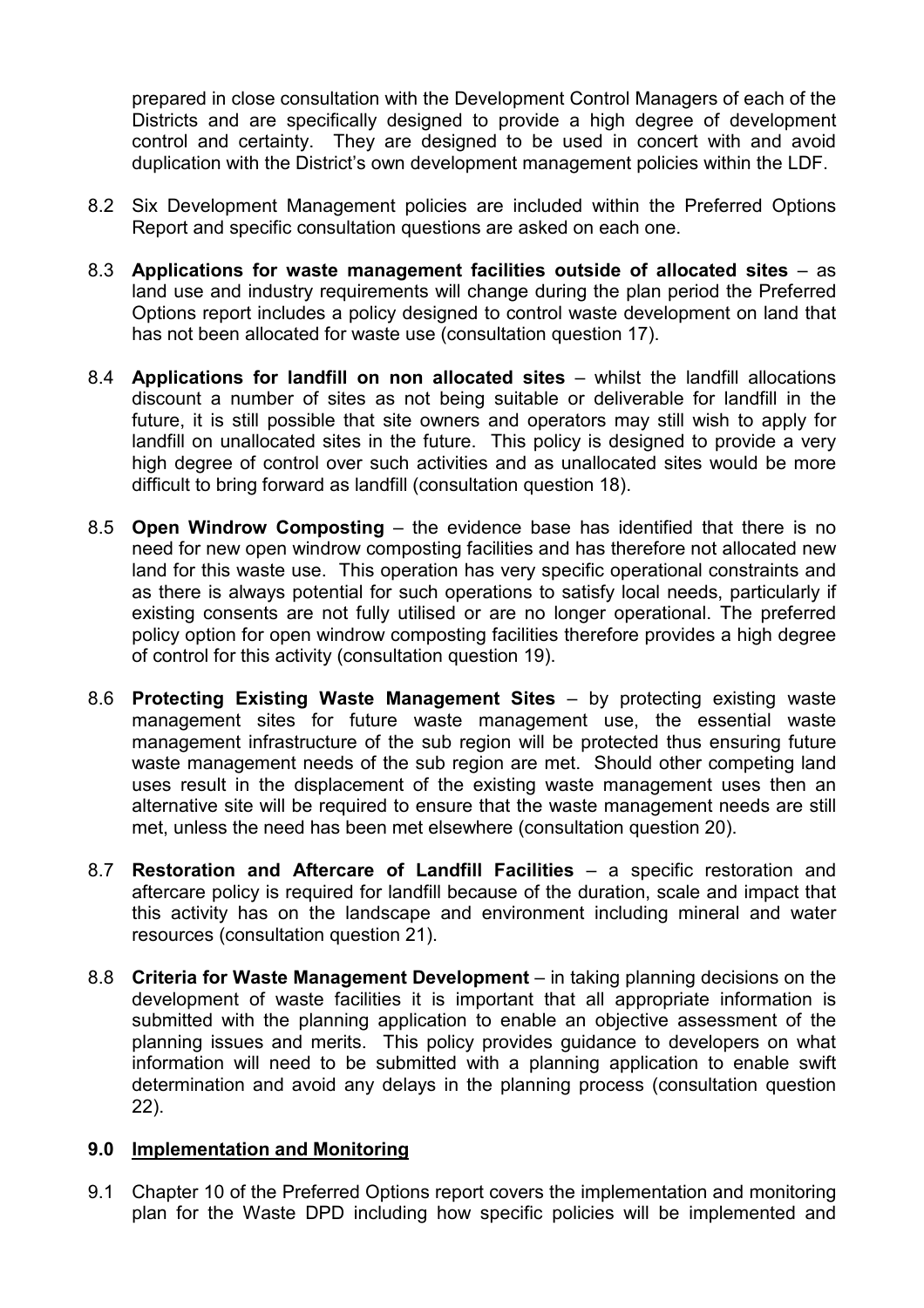prepared in close consultation with the Development Control Managers of each of the Districts and are specifically designed to provide a high degree of development control and certainty. They are designed to be used in concert with and avoid duplication with the District's own development management policies within the LDF.

- 8.2 Six Development Management policies are included within the Preferred Options Report and specific consultation questions are asked on each one.
- 8.3 Applications for waste management facilities outside of allocated sites as land use and industry requirements will change during the plan period the Preferred Options report includes a policy designed to control waste development on land that has not been allocated for waste use (consultation question 17).
- 8.4 Applications for landfill on non allocated sites whilst the landfill allocations discount a number of sites as not being suitable or deliverable for landfill in the future, it is still possible that site owners and operators may still wish to apply for landfill on unallocated sites in the future. This policy is designed to provide a very high degree of control over such activities and as unallocated sites would be more difficult to bring forward as landfill (consultation question 18).
- 8.5 Open Windrow Composting the evidence base has identified that there is no need for new open windrow composting facilities and has therefore not allocated new land for this waste use. This operation has very specific operational constraints and as there is always potential for such operations to satisfy local needs, particularly if existing consents are not fully utilised or are no longer operational. The preferred policy option for open windrow composting facilities therefore provides a high degree of control for this activity (consultation question 19).
- 8.6 Protecting Existing Waste Management Sites by protecting existing waste management sites for future waste management use, the essential waste management infrastructure of the sub region will be protected thus ensuring future waste management needs of the sub region are met. Should other competing land uses result in the displacement of the existing waste management uses then an alternative site will be required to ensure that the waste management needs are still met, unless the need has been met elsewhere (consultation question 20).
- 8.7 Restoration and Aftercare of Landfill Facilities a specific restoration and aftercare policy is required for landfill because of the duration, scale and impact that this activity has on the landscape and environment including mineral and water resources (consultation question 21).
- 8.8 Criteria for Waste Management Development in taking planning decisions on the development of waste facilities it is important that all appropriate information is submitted with the planning application to enable an objective assessment of the planning issues and merits. This policy provides guidance to developers on what information will need to be submitted with a planning application to enable swift determination and avoid any delays in the planning process (consultation question 22).

#### 9.0 Implementation and Monitoring

9.1 Chapter 10 of the Preferred Options report covers the implementation and monitoring plan for the Waste DPD including how specific policies will be implemented and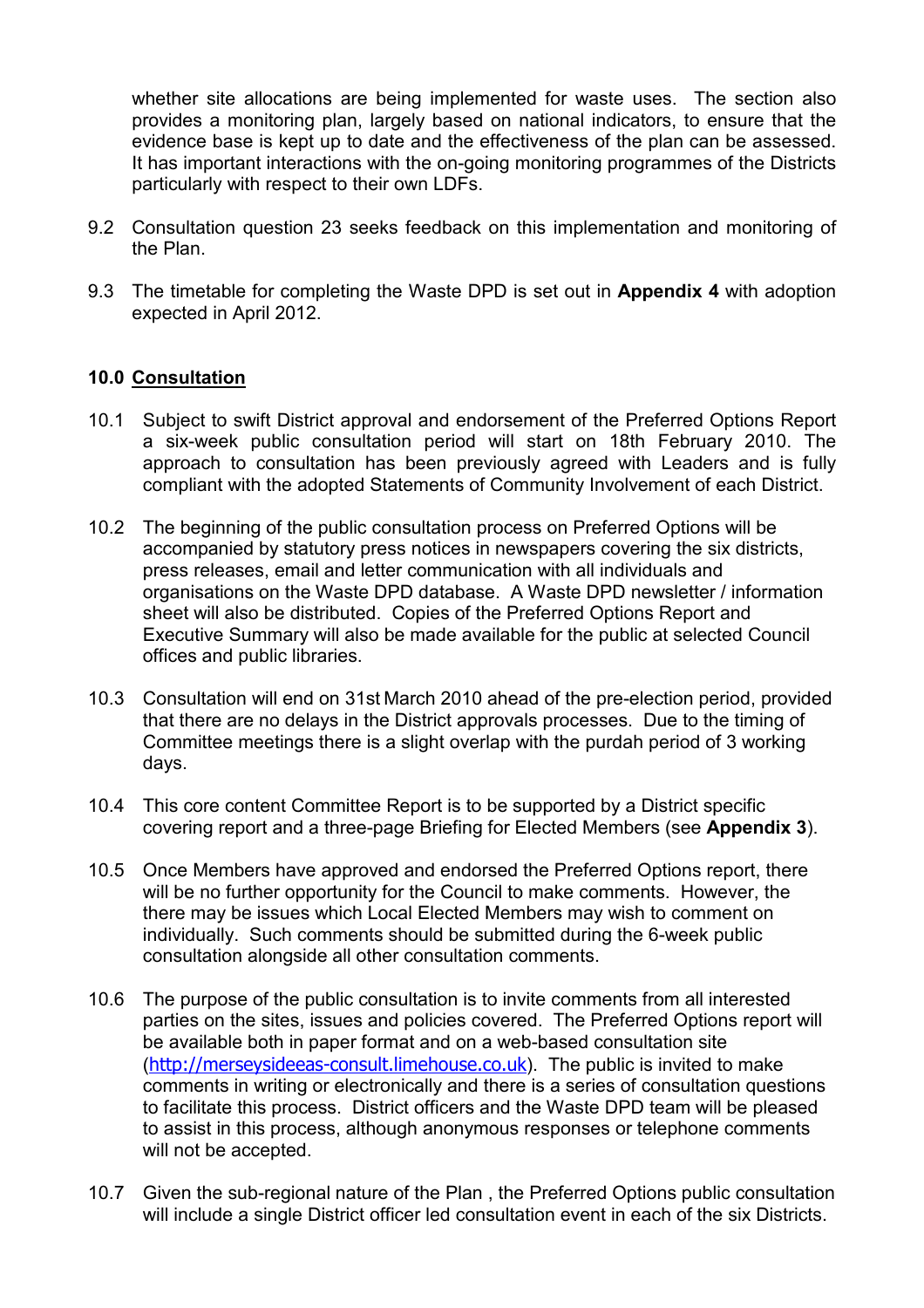whether site allocations are being implemented for waste uses. The section also provides a monitoring plan, largely based on national indicators, to ensure that the evidence base is kept up to date and the effectiveness of the plan can be assessed. It has important interactions with the on-going monitoring programmes of the Districts particularly with respect to their own LDFs.

- 9.2 Consultation question 23 seeks feedback on this implementation and monitoring of the Plan.
- 9.3 The timetable for completing the Waste DPD is set out in **Appendix 4** with adoption expected in April 2012.

## 10.0 Consultation

- 10.1 Subject to swift District approval and endorsement of the Preferred Options Report a six-week public consultation period will start on 18th February 2010. The approach to consultation has been previously agreed with Leaders and is fully compliant with the adopted Statements of Community Involvement of each District.
- 10.2 The beginning of the public consultation process on Preferred Options will be accompanied by statutory press notices in newspapers covering the six districts, press releases, email and letter communication with all individuals and organisations on the Waste DPD database. A Waste DPD newsletter / information sheet will also be distributed. Copies of the Preferred Options Report and Executive Summary will also be made available for the public at selected Council offices and public libraries.
- 10.3 Consultation will end on 31st March 2010 ahead of the pre-election period, provided that there are no delays in the District approvals processes. Due to the timing of Committee meetings there is a slight overlap with the purdah period of 3 working days.
- 10.4 This core content Committee Report is to be supported by a District specific covering report and a three-page Briefing for Elected Members (see Appendix 3).
- 10.5 Once Members have approved and endorsed the Preferred Options report, there will be no further opportunity for the Council to make comments. However, the there may be issues which Local Elected Members may wish to comment on individually. Such comments should be submitted during the 6-week public consultation alongside all other consultation comments.
- 10.6 The purpose of the public consultation is to invite comments from all interested parties on the sites, issues and policies covered. The Preferred Options report will be available both in paper format and on a web-based consultation site (http://merseysideeas-consult.limehouse.co.uk). The public is invited to make comments in writing or electronically and there is a series of consultation questions to facilitate this process. District officers and the Waste DPD team will be pleased to assist in this process, although anonymous responses or telephone comments will not be accepted.
- 10.7 Given the sub-regional nature of the Plan , the Preferred Options public consultation will include a single District officer led consultation event in each of the six Districts.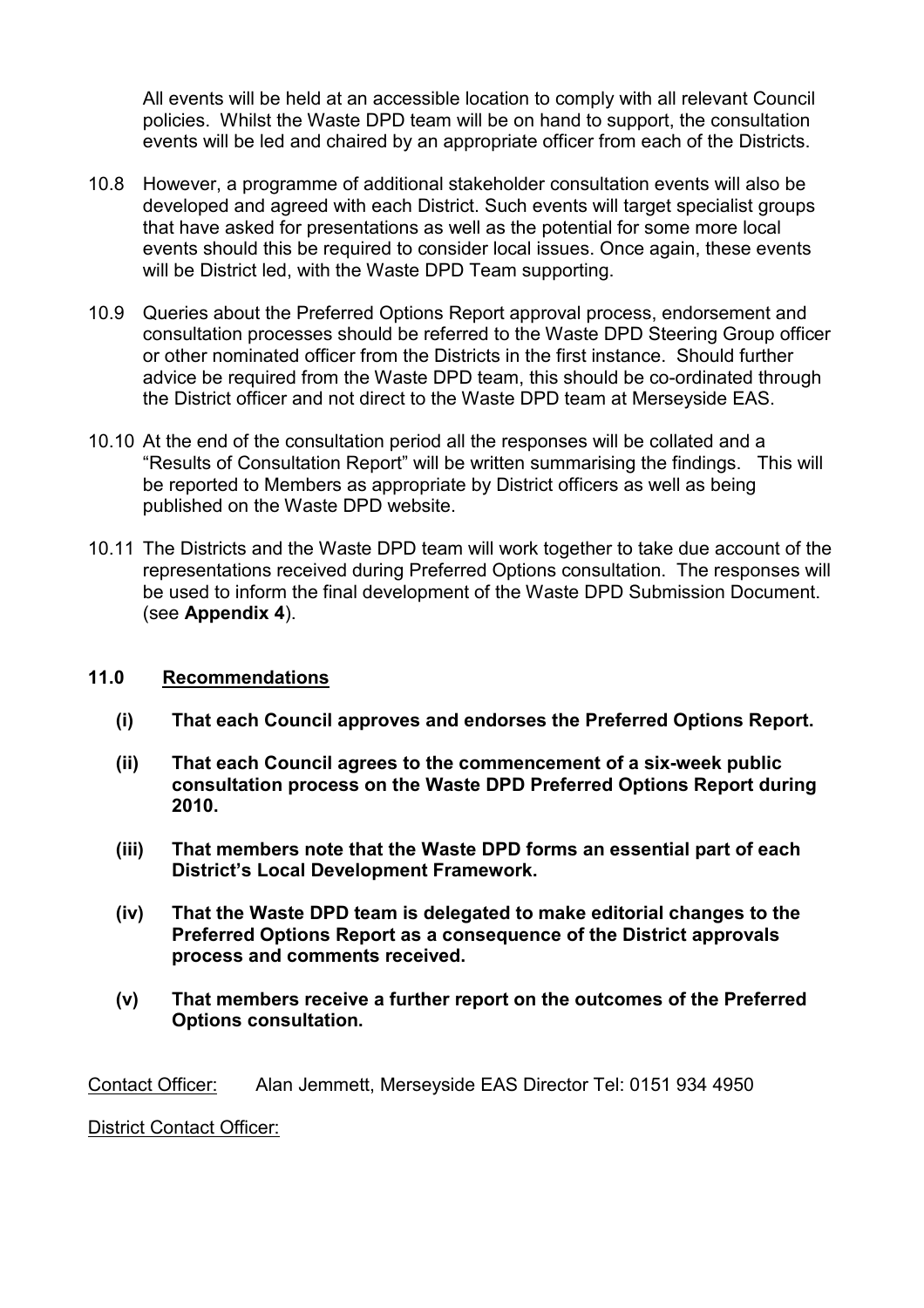All events will be held at an accessible location to comply with all relevant Council policies. Whilst the Waste DPD team will be on hand to support, the consultation events will be led and chaired by an appropriate officer from each of the Districts.

- 10.8 However, a programme of additional stakeholder consultation events will also be developed and agreed with each District. Such events will target specialist groups that have asked for presentations as well as the potential for some more local events should this be required to consider local issues. Once again, these events will be District led, with the Waste DPD Team supporting.
- 10.9 Queries about the Preferred Options Report approval process, endorsement and consultation processes should be referred to the Waste DPD Steering Group officer or other nominated officer from the Districts in the first instance. Should further advice be required from the Waste DPD team, this should be co-ordinated through the District officer and not direct to the Waste DPD team at Merseyside EAS.
- 10.10 At the end of the consultation period all the responses will be collated and a "Results of Consultation Report" will be written summarising the findings. This will be reported to Members as appropriate by District officers as well as being published on the Waste DPD website.
- 10.11 The Districts and the Waste DPD team will work together to take due account of the representations received during Preferred Options consultation. The responses will be used to inform the final development of the Waste DPD Submission Document. (see Appendix 4).

#### 11.0 Recommendations

- (i) That each Council approves and endorses the Preferred Options Report.
- (ii) That each Council agrees to the commencement of a six-week public consultation process on the Waste DPD Preferred Options Report during 2010.
- (iii) That members note that the Waste DPD forms an essential part of each District's Local Development Framework.
- (iv) That the Waste DPD team is delegated to make editorial changes to the Preferred Options Report as a consequence of the District approvals process and comments received.
- (v) That members receive a further report on the outcomes of the Preferred Options consultation.

Contact Officer: Alan Jemmett, Merseyside EAS Director Tel: 0151 934 4950

District Contact Officer: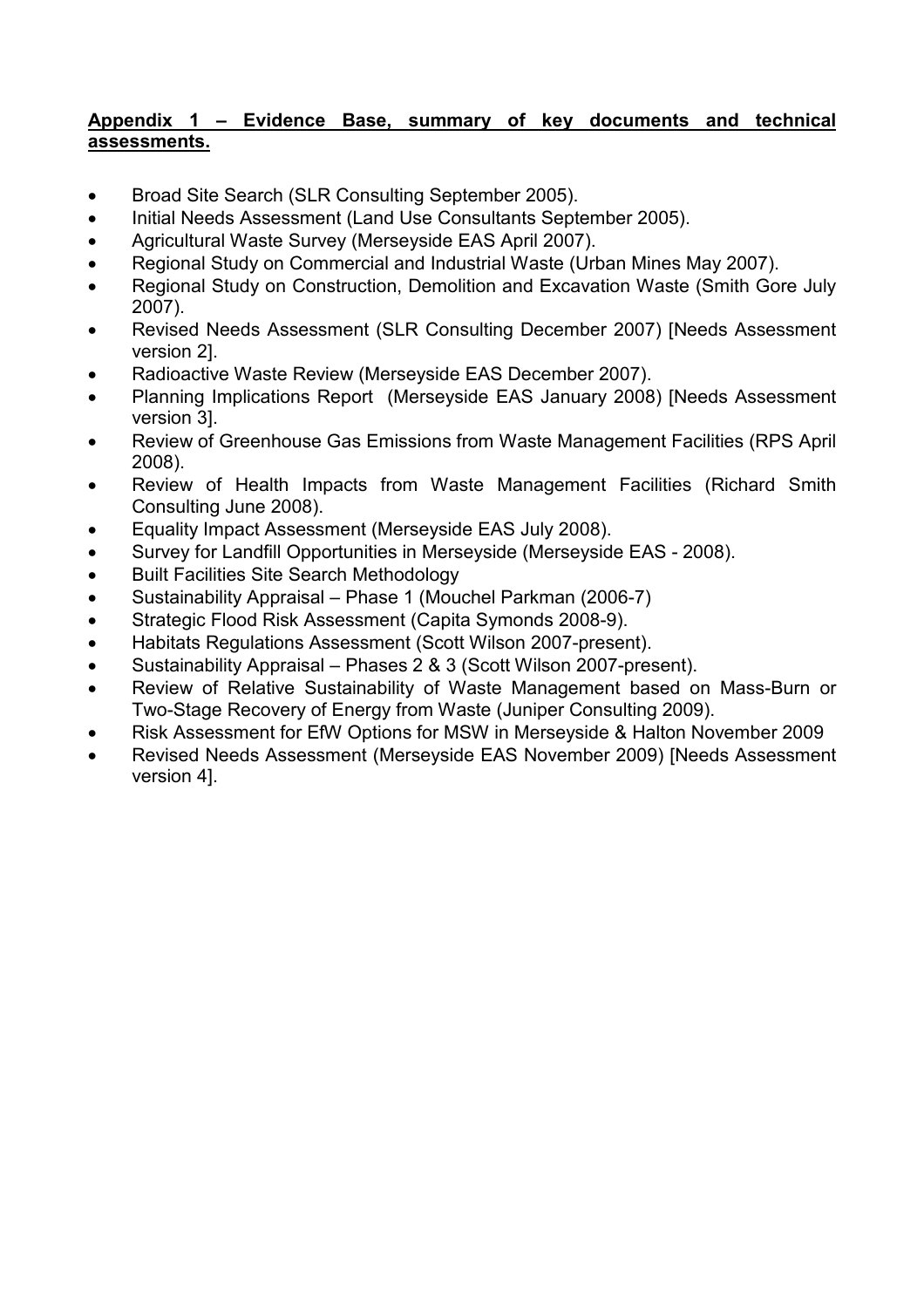## Appendix 1 – Evidence Base, summary of key documents and technical assessments.

- Broad Site Search (SLR Consulting September 2005).
- Initial Needs Assessment (Land Use Consultants September 2005).
- Agricultural Waste Survey (Merseyside EAS April 2007).
- Regional Study on Commercial and Industrial Waste (Urban Mines May 2007).
- Regional Study on Construction, Demolition and Excavation Waste (Smith Gore July 2007).
- Revised Needs Assessment (SLR Consulting December 2007) [Needs Assessment version 2].
- Radioactive Waste Review (Merseyside EAS December 2007).
- Planning Implications Report (Merseyside EAS January 2008) [Needs Assessment version 3].
- Review of Greenhouse Gas Emissions from Waste Management Facilities (RPS April 2008).
- Review of Health Impacts from Waste Management Facilities (Richard Smith Consulting June 2008).
- Equality Impact Assessment (Merseyside EAS July 2008).
- Survey for Landfill Opportunities in Merseyside (Merseyside EAS 2008).
- Built Facilities Site Search Methodology
- Sustainability Appraisal Phase 1 (Mouchel Parkman (2006-7)
- Strategic Flood Risk Assessment (Capita Symonds 2008-9).
- Habitats Regulations Assessment (Scott Wilson 2007-present).
- Sustainability Appraisal Phases 2 & 3 (Scott Wilson 2007-present).
- Review of Relative Sustainability of Waste Management based on Mass-Burn or Two-Stage Recovery of Energy from Waste (Juniper Consulting 2009).
- Risk Assessment for EfW Options for MSW in Merseyside & Halton November 2009
- Revised Needs Assessment (Merseyside EAS November 2009) [Needs Assessment version 4].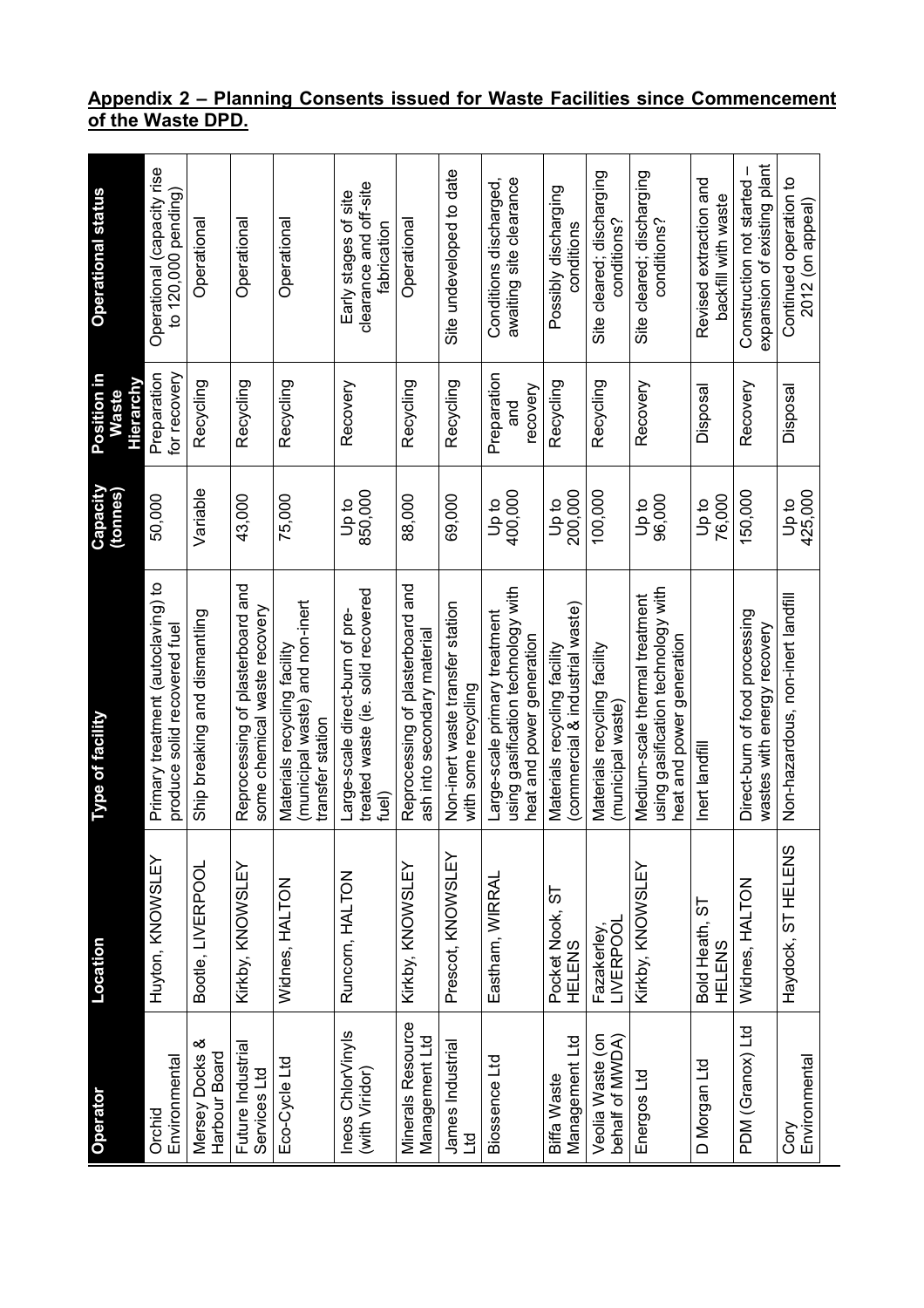#### Appendix 2 – Planning Consents issued for Waste Facilities since Commencement of the Waste DPD.

| Operator                                   | Location                         | <b>Type of facility</b>                                                                           | Capacity<br>(tonnes) | Position in<br>Hierarchy<br><b>Waste</b> | <b>Operational status</b>                                     |
|--------------------------------------------|----------------------------------|---------------------------------------------------------------------------------------------------|----------------------|------------------------------------------|---------------------------------------------------------------|
| Environmental<br>Orchid                    | Huyton, KNOWSLEY                 | Primary treatment (autoclaving) to<br>produce solid recovered fuel                                | 50,000               | Preparation<br>for recovery              | Operational (capacity rise<br>to 120,000 pending)             |
| Mersey Docks &<br>Harbour Board            | Bootle, LIVERPOOL                | Ship breaking and dismantling                                                                     | Variable             | Recycling                                | Operational                                                   |
| Future Industrial<br>Services Ltd          | Kirkby, KNOWSLEY                 | Reprocessing of plasterboard and<br>some chemical waste recovery                                  | 43,000               | Recycling                                | Operational                                                   |
| Eco-Cycle Ltd                              | Widnes, HALTON                   | (municipal waste) and non-inert<br>Materials recycling facility<br>transfer station               | 75,000               | Recycling                                | Operational                                                   |
| Ineos ChlorVinyls<br>(with Viridor)        | Runcorn, HALTON                  | treated waste (ie. solid recovered<br>Large-scale direct-burn of pre-<br>fuel)                    | 850,000<br>op to     | Recovery                                 | clearance and off-site<br>Early stages of site<br>fabrication |
| <b>Minerals Resource</b><br>Management Ltd | Kirkby, KNOWSLEY                 | Reprocessing of plasterboard and<br>ash into secondary material                                   | 88,000               | Recycling                                | Operational                                                   |
| James Industrial<br><b>DTT</b>             | Prescot, KNOWSLEY                | Non-inert waste transfer station<br>with some recycling                                           | 69,000               | Recycling                                | Site undeveloped to date                                      |
| Biossence Ltd                              | Eastham, WIRRAL                  | using gasification technology with<br>Large-scale primary treatment<br>heat and power generation  | 400,000<br>op to     | Preparation<br>recovery<br>and           | awaiting site clearance<br>Conditions discharged,             |
| Management Ltd<br>Biffa Waste              | Pocket Nook, ST<br><b>HELENS</b> | (commercial & industrial waste)<br>Materials recycling facility                                   | 200,000<br>op to     | Recycling                                | Possibly discharging<br>conditions                            |
| Veolia Waste (on<br>behalf of MWDA)        | Fazakerley,<br>LIVERPOOL         | Materials recycling facility<br>(municipal waste)                                                 | 100,000              | Recycling                                | Site cleared; discharging<br>conditions?                      |
| Energos Ltd                                | Kirkby, KNOWSLEY                 | using gasification technology with<br>Medium-scale thermal treatment<br>heat and power generation | 96,000<br>op to      | Recovery                                 | Site cleared; discharging<br>conditions?                      |
| D Morgan Ltd                               | Bold Heath, ST<br><b>HELENS</b>  | Inert landfill                                                                                    | 76,000<br>op to      | Disposal                                 | Revised extraction and<br>backfill with waste                 |
| PDM (Granox) Ltd                           | Widnes, HALTON                   | Direct-burn of food processing<br>wastes with energy recovery                                     | 150,000              | Recovery                                 | expansion of existing plant<br>Construction not started -     |
| Environmental<br>Cory                      | Haydock, ST HELENS               | Non-hazardous, non-inert landfill                                                                 | 425,000<br>op d      | Disposal                                 | Continued operation to<br>2012 (on appeal)                    |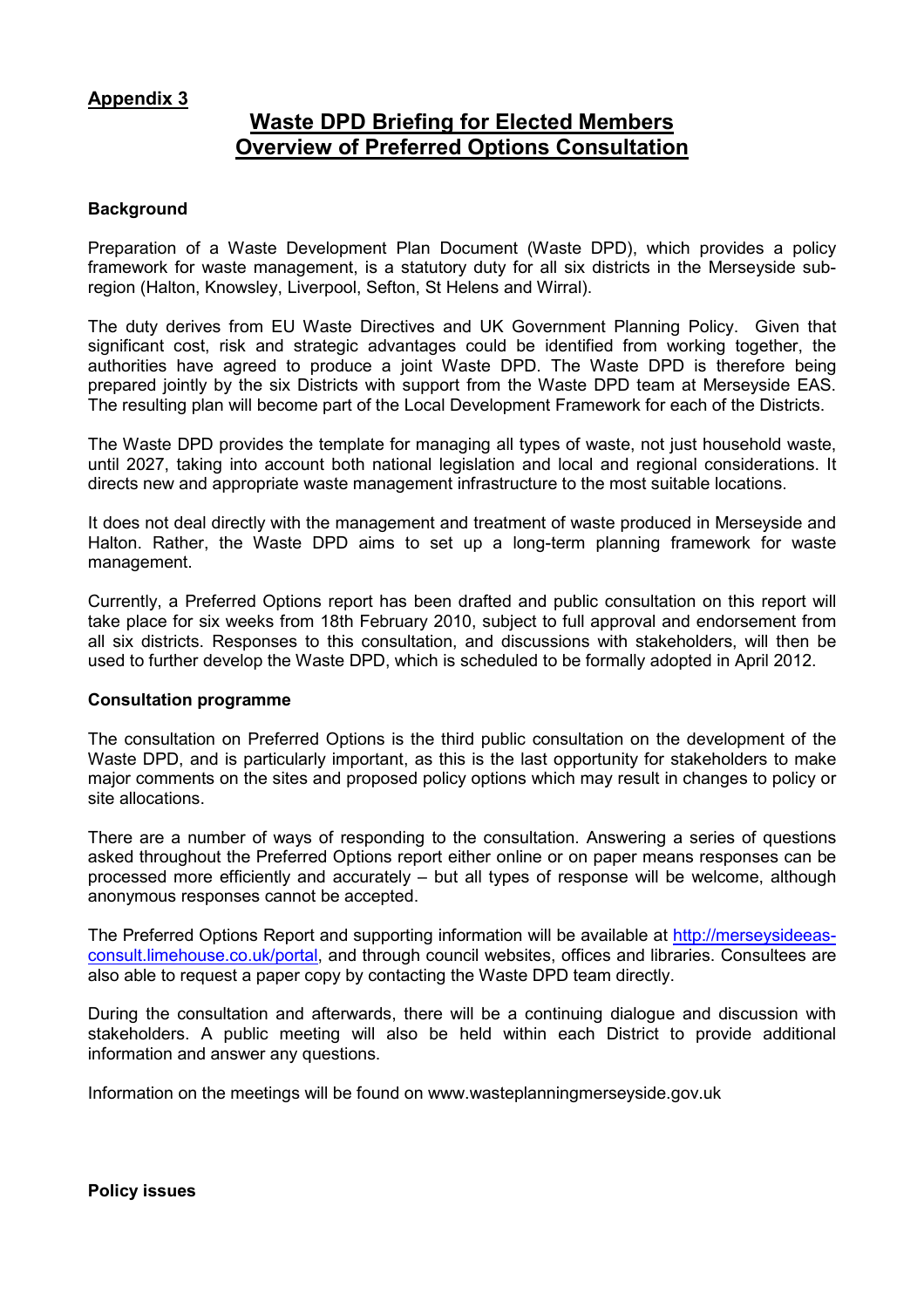## Appendix 3

## Waste DPD Briefing for Elected Members Overview of Preferred Options Consultation

#### **Background**

Preparation of a Waste Development Plan Document (Waste DPD), which provides a policy framework for waste management, is a statutory duty for all six districts in the Merseyside subregion (Halton, Knowsley, Liverpool, Sefton, St Helens and Wirral).

The duty derives from EU Waste Directives and UK Government Planning Policy. Given that significant cost, risk and strategic advantages could be identified from working together, the authorities have agreed to produce a joint Waste DPD. The Waste DPD is therefore being prepared jointly by the six Districts with support from the Waste DPD team at Merseyside EAS. The resulting plan will become part of the Local Development Framework for each of the Districts.

The Waste DPD provides the template for managing all types of waste, not just household waste, until 2027, taking into account both national legislation and local and regional considerations. It directs new and appropriate waste management infrastructure to the most suitable locations.

It does not deal directly with the management and treatment of waste produced in Merseyside and Halton. Rather, the Waste DPD aims to set up a long-term planning framework for waste management.

Currently, a Preferred Options report has been drafted and public consultation on this report will take place for six weeks from 18th February 2010, subject to full approval and endorsement from all six districts. Responses to this consultation, and discussions with stakeholders, will then be used to further develop the Waste DPD, which is scheduled to be formally adopted in April 2012.

#### Consultation programme

The consultation on Preferred Options is the third public consultation on the development of the Waste DPD, and is particularly important, as this is the last opportunity for stakeholders to make major comments on the sites and proposed policy options which may result in changes to policy or site allocations.

There are a number of ways of responding to the consultation. Answering a series of questions asked throughout the Preferred Options report either online or on paper means responses can be processed more efficiently and accurately – but all types of response will be welcome, although anonymous responses cannot be accepted.

The Preferred Options Report and supporting information will be available at http://merseysideeasconsult.limehouse.co.uk/portal, and through council websites, offices and libraries. Consultees are also able to request a paper copy by contacting the Waste DPD team directly.

During the consultation and afterwards, there will be a continuing dialogue and discussion with stakeholders. A public meeting will also be held within each District to provide additional information and answer any questions.

Information on the meetings will be found on www.wasteplanningmerseyside.gov.uk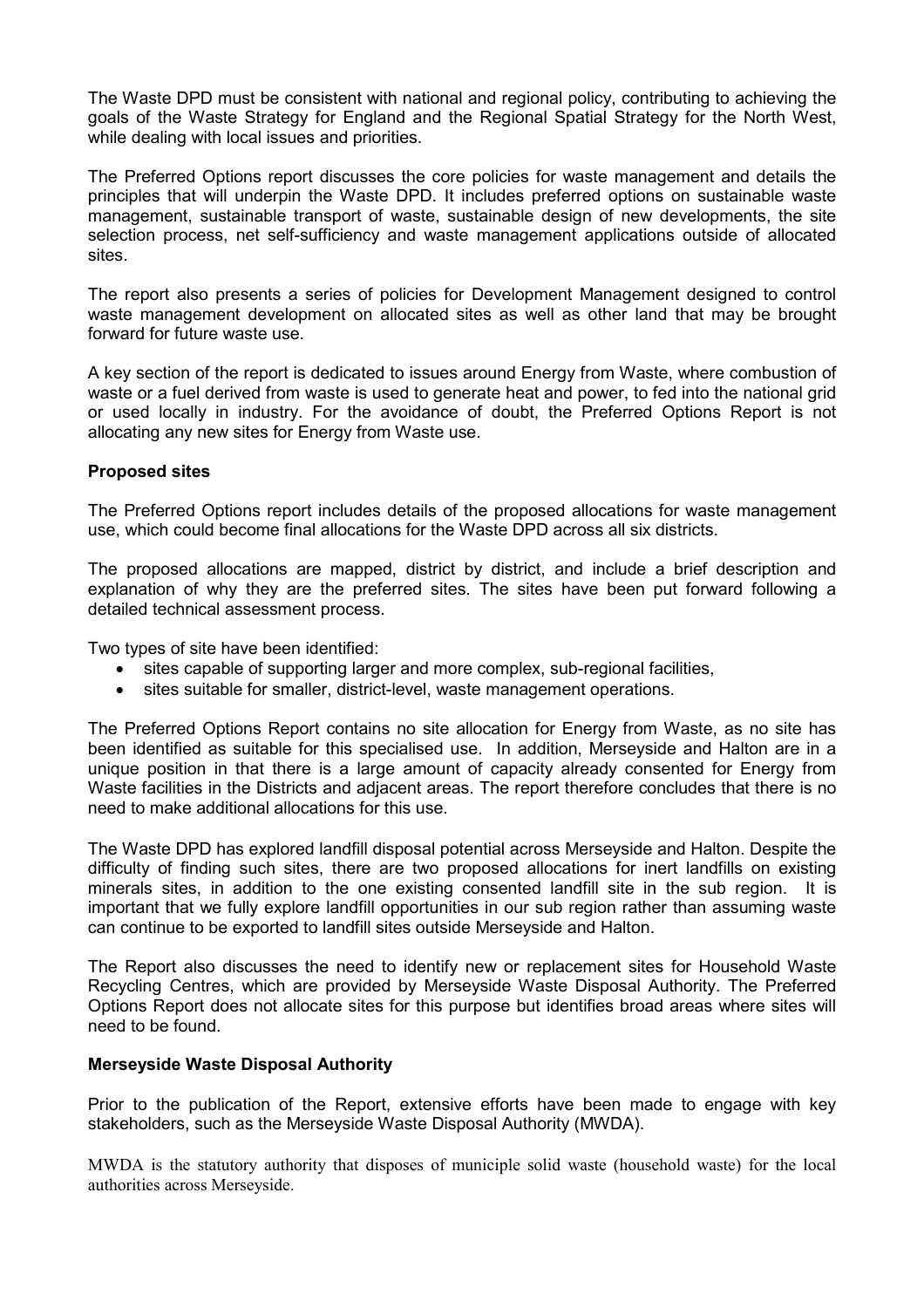The Waste DPD must be consistent with national and regional policy, contributing to achieving the goals of the Waste Strategy for England and the Regional Spatial Strategy for the North West, while dealing with local issues and priorities.

The Preferred Options report discusses the core policies for waste management and details the principles that will underpin the Waste DPD. It includes preferred options on sustainable waste management, sustainable transport of waste, sustainable design of new developments, the site selection process, net self-sufficiency and waste management applications outside of allocated sites.

The report also presents a series of policies for Development Management designed to control waste management development on allocated sites as well as other land that may be brought forward for future waste use.

A key section of the report is dedicated to issues around Energy from Waste, where combustion of waste or a fuel derived from waste is used to generate heat and power, to fed into the national grid or used locally in industry. For the avoidance of doubt, the Preferred Options Report is not allocating any new sites for Energy from Waste use.

#### Proposed sites

The Preferred Options report includes details of the proposed allocations for waste management use, which could become final allocations for the Waste DPD across all six districts.

The proposed allocations are mapped, district by district, and include a brief description and explanation of why they are the preferred sites. The sites have been put forward following a detailed technical assessment process.

Two types of site have been identified:

- sites capable of supporting larger and more complex, sub-regional facilities,
- sites suitable for smaller, district-level, waste management operations.

The Preferred Options Report contains no site allocation for Energy from Waste, as no site has been identified as suitable for this specialised use. In addition, Merseyside and Halton are in a unique position in that there is a large amount of capacity already consented for Energy from Waste facilities in the Districts and adjacent areas. The report therefore concludes that there is no need to make additional allocations for this use.

The Waste DPD has explored landfill disposal potential across Merseyside and Halton. Despite the difficulty of finding such sites, there are two proposed allocations for inert landfills on existing minerals sites, in addition to the one existing consented landfill site in the sub region. It is important that we fully explore landfill opportunities in our sub region rather than assuming waste can continue to be exported to landfill sites outside Merseyside and Halton.

The Report also discusses the need to identify new or replacement sites for Household Waste Recycling Centres, which are provided by Merseyside Waste Disposal Authority. The Preferred Options Report does not allocate sites for this purpose but identifies broad areas where sites will need to be found.

#### Merseyside Waste Disposal Authority

Prior to the publication of the Report, extensive efforts have been made to engage with key stakeholders, such as the Merseyside Waste Disposal Authority (MWDA).

MWDA is the statutory authority that disposes of municiple solid waste (household waste) for the local authorities across Merseyside.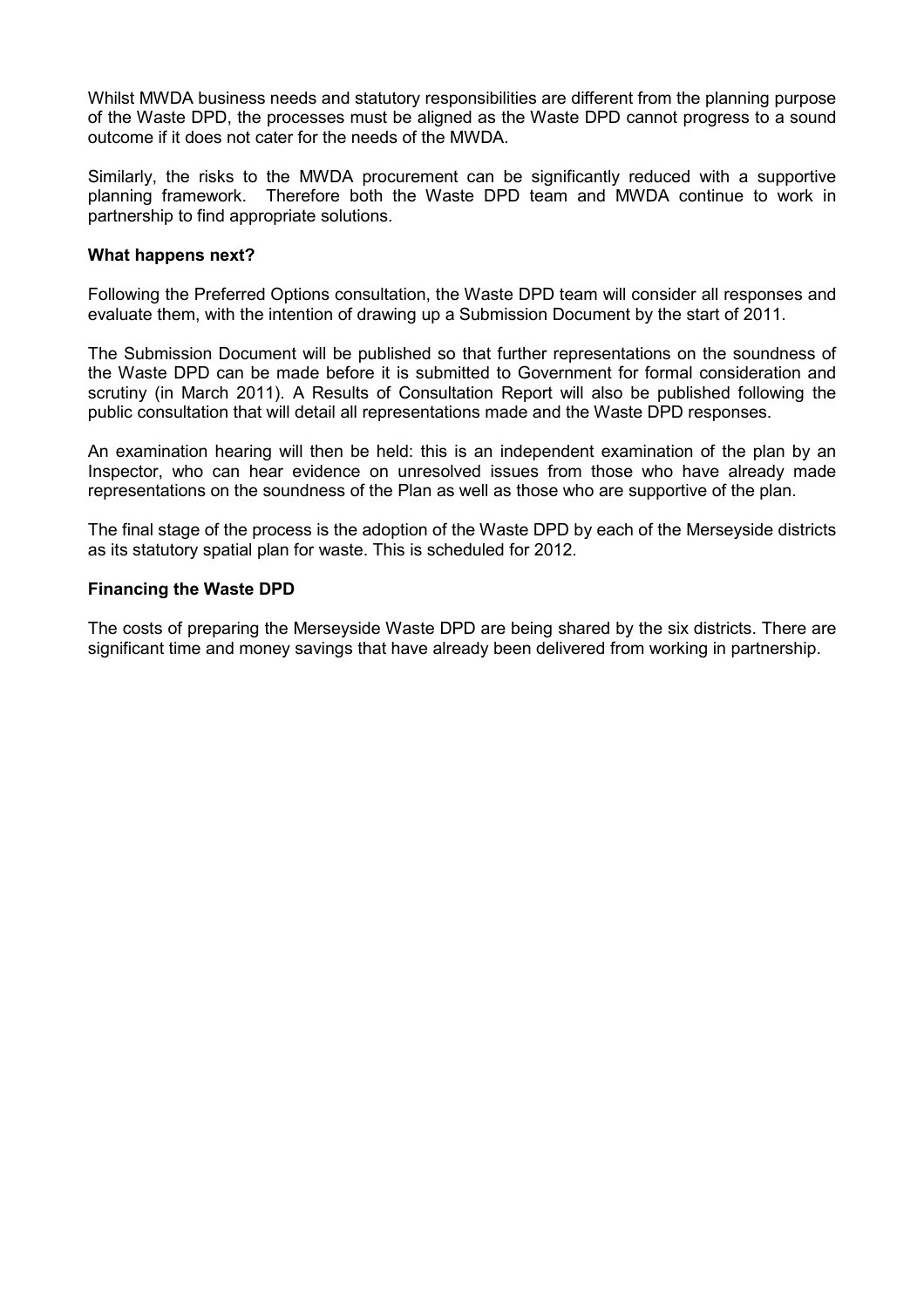Whilst MWDA business needs and statutory responsibilities are different from the planning purpose of the Waste DPD, the processes must be aligned as the Waste DPD cannot progress to a sound outcome if it does not cater for the needs of the MWDA.

Similarly, the risks to the MWDA procurement can be significantly reduced with a supportive planning framework. Therefore both the Waste DPD team and MWDA continue to work in partnership to find appropriate solutions.

#### What happens next?

Following the Preferred Options consultation, the Waste DPD team will consider all responses and evaluate them, with the intention of drawing up a Submission Document by the start of 2011.

The Submission Document will be published so that further representations on the soundness of the Waste DPD can be made before it is submitted to Government for formal consideration and scrutiny (in March 2011). A Results of Consultation Report will also be published following the public consultation that will detail all representations made and the Waste DPD responses.

An examination hearing will then be held: this is an independent examination of the plan by an Inspector, who can hear evidence on unresolved issues from those who have already made representations on the soundness of the Plan as well as those who are supportive of the plan.

The final stage of the process is the adoption of the Waste DPD by each of the Merseyside districts as its statutory spatial plan for waste. This is scheduled for 2012.

#### Financing the Waste DPD

The costs of preparing the Merseyside Waste DPD are being shared by the six districts. There are significant time and money savings that have already been delivered from working in partnership.